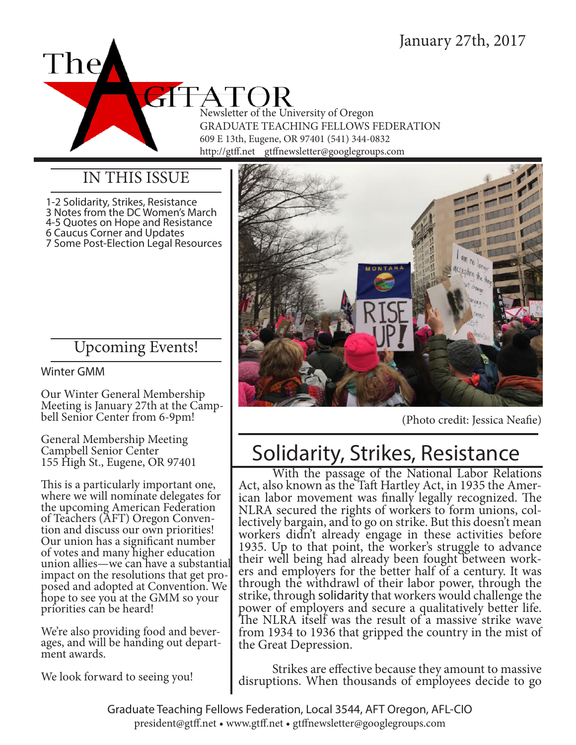

### IN THIS ISSUE

1-2 Solidarity, Strikes, Resistance 3 Notes from the DC Women's March 4-5 Quotes on Hope and Resistance 6 Caucus Corner and Updates 7 Some Post-Election Legal Resources

## Upcoming Events!

Winter GMM

Our Winter General Membership Meeting is January 27th at the Camp-<br>bell Senior Center from 6-9pm!

General Membership Meeting Campbell Senior Center 155 High St., Eugene, OR 97401

This is a particularly important one, where we will nominate delegates for the upcoming American Federation of Teachers (AFT) Oregon Conven- tion and discuss our own priorities! Our union has a significant number of votes and many higher education union allies—we can have a substantial posed and adopted at Convention. We hope to see you at the GMM so your priorities can be heard!

We're also providing food and bever-<br>ages, and will be handing out depart-<br>ment awards.

We look forward to seeing you!



(Photo credit: Jessica Neafie)

# Solidarity, Strikes, Resistance

With the passage of the National Labor Relations<br>Act, also known as the Taft Hartley Act, in 1935 the Amer-<br>ican labor movement was finally legally recognized. The<br>NLRA secured the rights of workers to form unions, collectively bargain, and to go on strike. But this doesn't mean workers didn't already engage in these activities before 1935. Up to that point, the worker's struggle to advance their well being had already been fought between work- ers and employers for the better half of a century. It was through the withdrawl of their labor power, through the strike, through solidarity that workers would challenge the power of employers and secure a qualitatively better life. The NLRA itself was the result of a massive strike wave from 1934 to 1936 that gripped the country in the mist of the Great Depression.

Strikes are effective because they amount to massive disruptions. When thousands of employees decide to go

Graduate Teaching Fellows Federation, Local 3544, AFT Oregon, AFL-CIO president@gtff.net • www.gtff.net • gtffnewsletter@googlegroups.com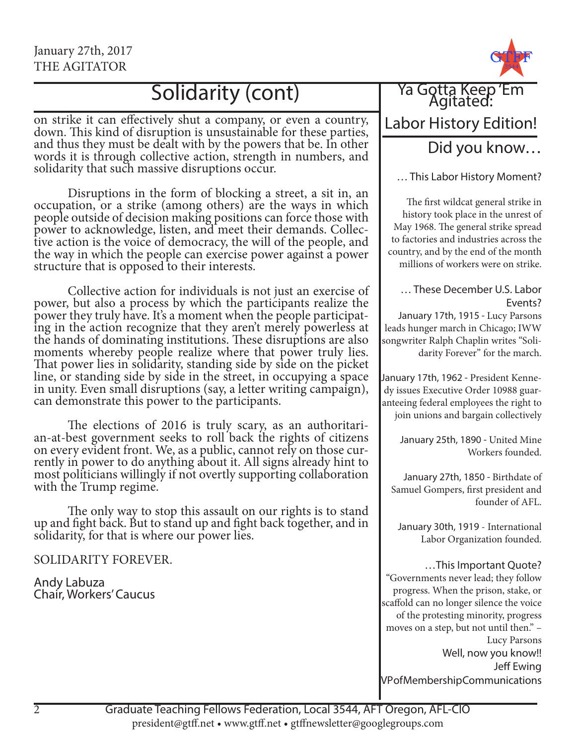## Solidarity (cont)

on strike it can effectively shut a company, or even a country, down. This kind of disruption is unsustainable for these parties, and thus they must be dealt with by the powers that be. In other words it is through collective action, strength in numbers, and solidarity that such massive disruptions occur.

Disruptions in the form of blocking a street, a sit in, an occupation, or a strike (among others) are the ways in which people outside of decision making positions can force those with power to acknowledge, listen, and meet their demands. Collective action is the voice of democracy, the will of the people, and the way in which the people can exercise power against a power structure that is opposed to their interests.

Collective action for individuals is not just an exercise of power, but also a process by which the participants realize the ing in the action recognize that they aren't merely powerless at the hands of dominating institutions. These disruptions are also moments whereby people realize where that power truly lies. That power lies in solidarity, standing side by side on the picket line, or standing side by side in the street, in occupying a space in unity. Even small disruptions (say, a letter writing campaign), can demonstrate this power to the participants.

The elections of 2016 is truly scary, as an authoritari- an-at-best government seeks to roll back the rights of citizens on every evident front. We, as a public, cannot rely on those cur- rently in power to do anything about it. All signs already hint to most politicians willingly if not overtly supporting collaboration with the Trump regime.

The only way to stop this assault on our rights is to stand up and fight back. But to stand up and fight back together, and in solidarity, for that is where our power lies.

SOLIDARITY FOREVER.

Andy Labuza Chair, Workers' Caucus



## Labor History Edition!

### Did you know…

… This Labor History Moment?

The first wildcat general strike in history took place in the unrest of May 1968. The general strike spread to factories and industries across the country, and by the end of the month millions of workers were on strike.

#### … These December U.S. Labor Events?

January 17th, 1915 - Lucy Parsons leads hunger march in Chicago; IWW songwriter Ralph Chaplin writes "Solidarity Forever" for the march.

January 17th, 1962 - President Kennedy issues Executive Order 10988 guaranteeing federal employees the right to join unions and bargain collectively

January 25th, 1890 - United Mine Workers founded.

January 27th, 1850 - Birthdate of Samuel Gompers, first president and founder of AFL.

January 30th, 1919 - International Labor Organization founded.

#### …This Important Quote?

"Governments never lead; they follow progress. When the prison, stake, or scaffold can no longer silence the voice of the protesting minority, progress moves on a step, but not until then." – Lucy Parsons Well, now you know!! Jeff Ewing VP of Membership Communications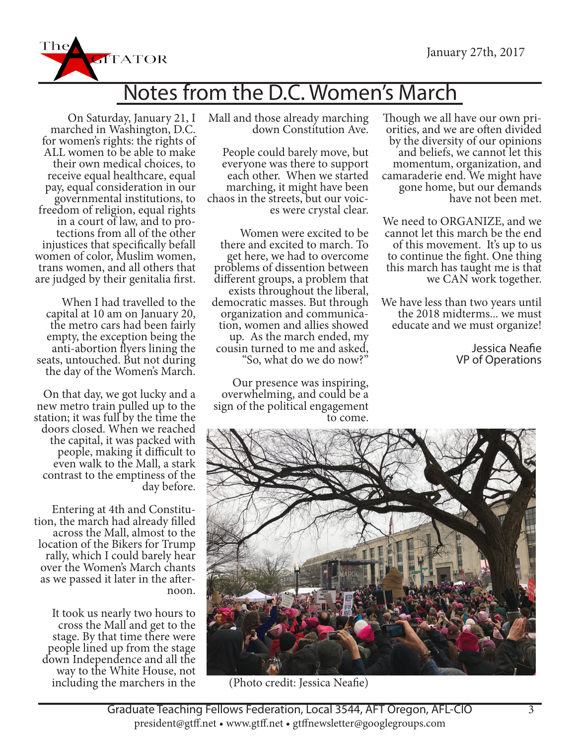

# Notes from the D.C. Women's March

On Saturday, January 21, I marched in Washington, D.C. for women's rights: the rights of ALL women to be able to make their own medical choices, to receive equal healthcare, equal pay, equal consideration in our freedom of religion, equal rights<br>in a court of law, and to pro-<br>tections from all of the other injustices that specifically befall women of color, Muslim women, trans women, and all others that are judged by their genitalia first.

When I had travelled to the capital at 10 am on January 20, the metro cars had been fairly empty, the exception being the<br>anti-abortion flyers lining the seats, untouched. But not during the day of the Women's March.

On that day, we got lucky and a new metro train pulled up to the station; it was full by the time the doors closed. When we reached the capital, it was packed with people, making it difficult to even walk to the Mall, a stark contrast to the emptiness of the day before.

Entering at 4th and Constitu- tion, the march had already filled across the Mall, almost to the location of the Bikers for Trump rally, which I could barely hear over the Women's March chants as we passed it later in the after- noon.

It took us nearly two hours to cross the Mall and get to the stage. By that time there were people lined up from the stage down Independence and all the way to the White House, not including the marchers in the Mall and those already marching down Constitution Ave.

People could barely move, but everyone was there to support each other. When we started<br>marching, it might have been chaos in the streets, but our voic-<br>es were crystal clear.

Women were excited to be there and excited to march. To get here, we had to overcome problems of dissention between exists throughout the liberal,<br>democratic masses. But through<br>organization and communication, women and allies showed<br>up. As the march ended, my cousin turned to me and asked, "So, what do we do now?"

Our presence was inspiring, overwhelming, and could be a sign of the political engagement to come.

Though we all have our own pri- orities, and we are often divided by the diversity of our opinions and beliefs, we cannot let this momentum, organization, and camaraderie end. We might have gone home, but our demands have not been met.

We need to ORGANIZE, and we cannot let this march be the end of this movement. It's up to us to continue the fight. One thing this march has taught me is that we CAN work together.

We have less than two years until<br>the 2018 midterms... we must educate and we must organize!

> Jessica Neafie VP of Operations



(Photo credit: Jessica Neafie)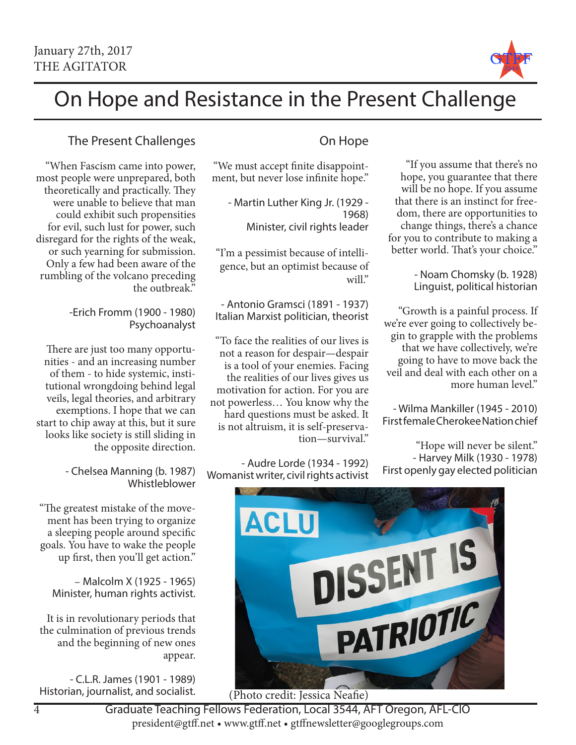

"If you assume that there's no hope, you guarantee that there will be no hope. If you assume that there is an instinct for freedom, there are opportunities to change things, there's a chance for you to contribute to making a better world. That's your choice."

> - Noam Chomsky (b. 1928) Linguist, political historian

"Growth is a painful process. If we're ever going to collectively begin to grapple with the problems that we have collectively, we're going to have to move back the veil and deal with each other on a

- Wilma Mankiller (1945 - 2010) First female Cherokee Nation chief

First openly gay elected politician

"Hope will never be silent." - Harvey Milk (1930 - 1978)

more human level."

# On Hope and Resistance in the Present Challenge

### The Present Challenges

"When Fascism came into power, most people were unprepared, both theoretically and practically. They were unable to believe that man could exhibit such propensities for evil, such lust for power, such disregard for the rights of the weak, or such yearning for submission. Only a few had been aware of the rumbling of the volcano preceding the outbreak."

> -Erich Fromm (1900 - 1980) Psychoanalyst

There are just too many opportunities - and an increasing number of them - to hide systemic, institutional wrongdoing behind legal veils, legal theories, and arbitrary exemptions. I hope that we can start to chip away at this, but it sure looks like society is still sliding in the opposite direction.

> - Chelsea Manning (b. 1987) Whistleblower

"The greatest mistake of the movement has been trying to organize a sleeping people around specific goals. You have to wake the people up first, then you'll get action."

– Malcolm X (1925 - 1965) Minister, human rights activist.

It is in revolutionary periods that the culmination of previous trends and the beginning of new ones appear.

- C.L.R. James (1901 - 1989) Historian, journalist, and socialist.

### On Hope

"We must accept finite disappointment, but never lose infinite hope."

- Martin Luther King Jr. (1929 - 1968) Minister, civil rights leader

"I'm a pessimist because of intelligence, but an optimist because of will."

- Antonio Gramsci (1891 - 1937) Italian Marxist politician, theorist

"To face the realities of our lives is not a reason for despair—despair is a tool of your enemies. Facing the realities of our lives gives us motivation for action. For you are not powerless… You know why the hard questions must be asked. It is not altruism, it is self-preservation—survival."

- Audre Lorde (1934 - 1992) Womanist writer, civil rights activist



(Photo credit: Jessica Neafie)

Graduate Teaching Fellows Federation, Local 3544, AFT Oregon, AFL-CIO president@gtff.net • www.gtff.net • gtffnewsletter@googlegroups.com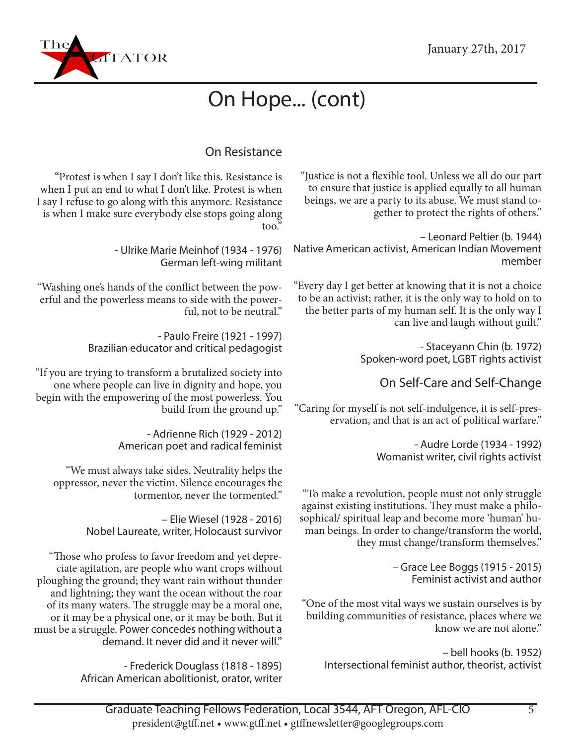

# On Hope... (cont)

### On Resistance

"Justice is not a flexible tool. Unless we all do our part to ensure that justice is applied equally to all human beings, we are a party to its abuse. We must stand together to protect the rights of others."

– Leonard Peltier (b. 1944) Native American activist, American Indian Movement member

"Every day I get better at knowing that it is not a choice to be an activist; rather, it is the only way to hold on to the better parts of my human self. It is the only way I can live and laugh without guilt."

> - Staceyann Chin (b. 1972) Spoken-word poet, LGBT rights activist

> > On Self-Care and Self-Change

"Caring for myself is not self-indulgence, it is self-preservation, and that is an act of political warfare."

> - Audre Lorde (1934 - 1992) Womanist writer, civil rights activist

"To make a revolution, people must not only struggle against existing institutions. They must make a philosophical/ spiritual leap and become more 'human' human beings. In order to change/transform the world, they must change/transform themselves."

> – Grace Lee Boggs (1915 - 2015) Feminist activist and author

"One of the most vital ways we sustain ourselves is by building communities of resistance, places where we know we are not alone."

– bell hooks (b. 1952) Intersectional feminist author, theorist, activist

"Protest is when I say I don't like this. Resistance is when I put an end to what I don't like. Protest is when I say I refuse to go along with this anymore. Resistance is when I make sure everybody else stops going along too."

> - Ulrike Marie Meinhof (1934 - 1976) German left-wing militant

"Washing one's hands of the conflict between the powerful and the powerless means to side with the powerful, not to be neutral."

> - Paulo Freire (1921 - 1997) Brazilian educator and critical pedagogist

"If you are trying to transform a brutalized society into one where people can live in dignity and hope, you begin with the empowering of the most powerless. You build from the ground up."

> - Adrienne Rich (1929 - 2012) American poet and radical feminist

"We must always take sides. Neutrality helps the oppressor, never the victim. Silence encourages the tormentor, never the tormented."

> – Elie Wiesel (1928 - 2016) Nobel Laureate, writer, Holocaust survivor

"Those who profess to favor freedom and yet depreciate agitation, are people who want crops without ploughing the ground; they want rain without thunder and lightning; they want the ocean without the roar of its many waters. The struggle may be a moral one, or it may be a physical one, or it may be both. But it must be a struggle. Power concedes nothing without a demand. It never did and it never will."

> - Frederick Douglass (1818 - 1895) African American abolitionist, orator, writer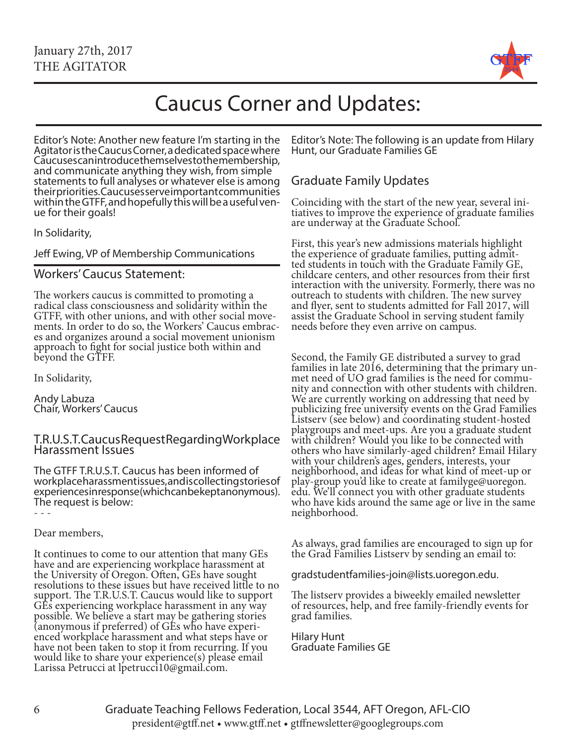

# Caucus Corner and Updates:

Editor's Note: Another new feature I'm starting in the Agitator is the Caucus Corner, a dedicated space where Caucuses can introduce themselves to the membership, and communicate anything they wish, from simple statements to full analyses or whatever else is among their priorities. Caucuses serve important communities within the GTFF, and hopefully this will be a useful ven- ue for their goals!

In Solidarity,

Jeff Ewing, VP of Membership Communications

#### Workers' Caucus Statement:

The workers caucus is committed to promoting a radical class consciousness and solidarity within the ments. In order to do so, the Workers' Caucus embraces and organizes around a social movement unionism approach to fight for social justice both within and beyond the GTFF.

In Solidarity,

Andy Labuza Chair, Workers' Caucus

#### T.R.U.S.T. Caucus Request Regarding Workplace Harassment Issues

The GTFF T.R.U.S.T. Caucus has been informed of workplace harassment issues, and is collecting stories of experiences in response (which can be kept anonymous). The request is below:

- - -

#### Dear members,

It continues to come to our attention that many GEs have and are experiencing workplace harassment at the University of Oregon. Often, GEs have sought resolutions to these issues but have received little to no support. The T.R.U.S.T. Caucus would like to support GEs experiencing workplace harassment in any way possible. We believe a start may be gathering stories (anonymous if preferred) of GEs who have experi- enced workplace harassment and what steps have or have not been taken to stop it from recurring. If you would like to share your experience(s) please email Larissa Petrucci at lpetrucci10@gmail.com.

Editor's Note: The following is an update from Hilary Hunt, our Graduate Families GE

#### Graduate Family Updates

Coinciding with the start of the new year, several ini- tiatives to improve the experience of graduate families are underway at the Graduate School.

First, this year's new admissions materials highlight the experience of graduate families, putting admit- ted students in touch with the Graduate Family GE, childcare centers, and other resources from their first interaction with the university. Formerly, there was no outreach to students with children. The new survey and flyer, sent to students admitted for Fall 2017, will assist the Graduate School in serving student family needs before they even arrive on campus.

Second, the Family GE distributed a survey to grad families in late 2016, determining that the primary un-<br>met need of UO grad families is the need for commu-<br>nity and connection with other students with children. We are currently working on addressing that need by publicizing free university events on the Grad Families Listserv (see below) and coordinating student-hosted playgroups and meet-ups. Are you a graduate student with children? Would you like to be connected with others who have similarly-aged children? Email Hilary with your children's ages, genders, interests, your neighborhood, and ideas for what kind of meet-up or play-group you'd like to create at familyge@uoregon. edu. We'll connect you with other graduate students who have kids around the same age or live in the same neighborhood.

As always, grad families are encouraged to sign up for the Grad Families Listserv by sending an email to:

gradstudentfamilies-join@lists.uoregon.edu.

The listserv provides a biweekly emailed newsletter of resources, help, and free family-friendly events for grad families.

Hilary Hunt Graduate Families GE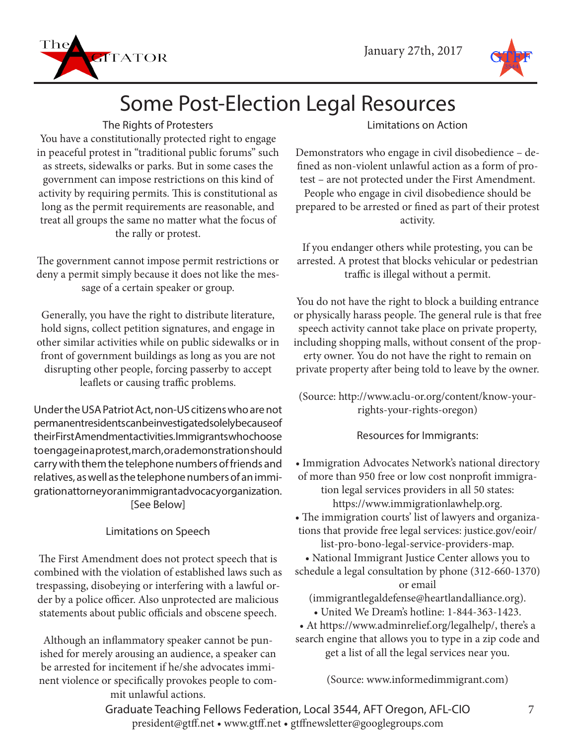



# Some Post-Election Legal Resources

#### The Rights of Protesters

You have a constitutionally protected right to engage in peaceful protest in "traditional public forums" such as streets, sidewalks or parks. But in some cases the government can impose restrictions on this kind of activity by requiring permits. This is constitutional as long as the permit requirements are reasonable, and treat all groups the same no matter what the focus of the rally or protest.

The government cannot impose permit restrictions or deny a permit simply because it does not like the message of a certain speaker or group.

Generally, you have the right to distribute literature, hold signs, collect petition signatures, and engage in other similar activities while on public sidewalks or in front of government buildings as long as you are not disrupting other people, forcing passerby to accept leaflets or causing traffic problems.

Under the USA Patriot Act, non-US citizens who are not permanent residents can be investigated solely because of their First Amendment activities. Immigrants who choose to engage in a protest, march, or a demonstration should carry with them the telephone numbers of friends and relatives, as well as the telephone numbers of an immigration attorney or an immigrant advocacy organization. [See Below]

#### Limitations on Speech

The First Amendment does not protect speech that is combined with the violation of established laws such as trespassing, disobeying or interfering with a lawful order by a police officer. Also unprotected are malicious statements about public officials and obscene speech.

Although an inflammatory speaker cannot be punished for merely arousing an audience, a speaker can be arrested for incitement if he/she advocates imminent violence or specifically provokes people to commit unlawful actions.

Limitations on Action

Demonstrators who engage in civil disobedience – defined as non-violent unlawful action as a form of protest – are not protected under the First Amendment. People who engage in civil disobedience should be prepared to be arrested or fined as part of their protest activity.

If you endanger others while protesting, you can be arrested. A protest that blocks vehicular or pedestrian traffic is illegal without a permit.

You do not have the right to block a building entrance or physically harass people. The general rule is that free speech activity cannot take place on private property, including shopping malls, without consent of the property owner. You do not have the right to remain on private property after being told to leave by the owner.

(Source: http://www.aclu-or.org/content/know-yourrights-your-rights-oregon)

Resources for Immigrants:

- Immigration Advocates Network's national directory of more than 950 free or low cost nonprofit immigration legal services providers in all 50 states: https://www.immigrationlawhelp.org.
- The immigration courts' list of lawyers and organizations that provide free legal services: justice.gov/eoir/ list-pro-bono-legal-service-providers-map.
- National Immigrant Justice Center allows you to schedule a legal consultation by phone (312-660-1370)

or email

(immigrantlegaldefense@heartlandalliance.org).

- United We Dream's hotline: 1-844-363-1423.
- At https://www.adminrelief.org/legalhelp/, there's a search engine that allows you to type in a zip code and get a list of all the legal services near you.

(Source: www.informedimmigrant.com)

Graduate Teaching Fellows Federation, Local 3544, AFT Oregon, AFL-CIO president@gtff.net • www.gtff.net • gtffnewsletter@googlegroups.com